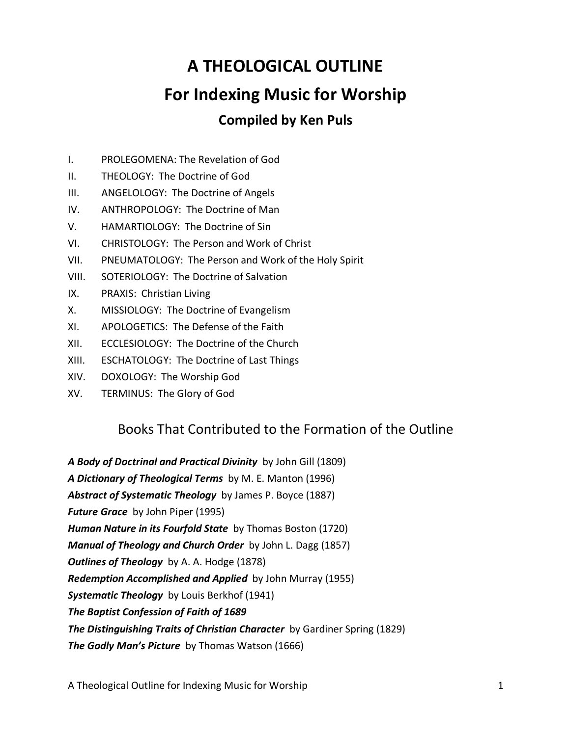# **A THEOLOGICAL OUTLINE For Indexing Music for Worship Compiled by Ken Puls**

- I. PROLEGOMENA: The Revelation of God
- II. THEOLOGY: The Doctrine of God
- III. ANGELOLOGY: The Doctrine of Angels
- IV. ANTHROPOLOGY: The Doctrine of Man
- V. HAMARTIOLOGY: The Doctrine of Sin
- VI. CHRISTOLOGY: The Person and Work of Christ
- VII. PNEUMATOLOGY: The Person and Work of the Holy Spirit
- VIII. SOTERIOLOGY: The Doctrine of Salvation
- IX. PRAXIS: Christian Living
- X. MISSIOLOGY: The Doctrine of Evangelism
- XI. APOLOGETICS: The Defense of the Faith
- XII. ECCLESIOLOGY: The Doctrine of the Church
- XIII. ESCHATOLOGY: The Doctrine of Last Things
- XIV. DOXOLOGY: The Worship God
- XV. TERMINUS: The Glory of God

# Books That Contributed to the Formation of the Outline

*A Body of Doctrinal and Practical Divinity* by John Gill (1809) *A Dictionary of Theological Terms* by M. E. Manton (1996) *Abstract of Systematic Theology*by James P. Boyce (1887) *Future Grace* by John Piper (1995) *Human Nature in its Fourfold State* by Thomas Boston (1720) *Manual of Theology and Church Order* by John L. Dagg (1857) *Outlines of Theology* by A. A. Hodge (1878) *Redemption Accomplished and Applied* by John Murray (1955) *Systematic Theology* by Louis Berkhof (1941) *The Baptist Confession of Faith of 1689* **The Distinguishing Traits of Christian Character** by Gardiner Spring (1829) *The Godly Man's Picture* by Thomas Watson (1666)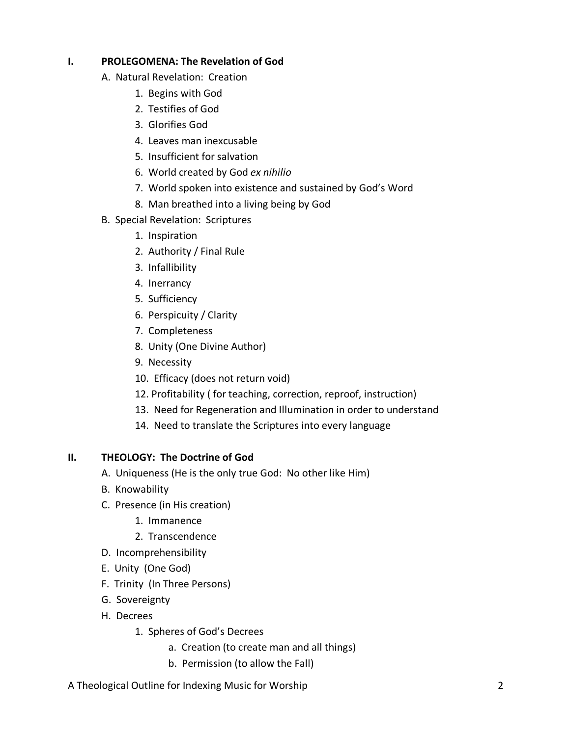# **I. PROLEGOMENA: The Revelation of God**

- A. Natural Revelation: Creation
	- 1. Begins with God
	- 2. Testifies of God
	- 3. Glorifies God
	- 4. Leaves man inexcusable
	- 5. Insufficient for salvation
	- 6. World created by God *ex nihilio*
	- 7. World spoken into existence and sustained by God's Word
	- 8. Man breathed into a living being by God
- B. Special Revelation: Scriptures
	- 1. Inspiration
	- 2. Authority / Final Rule
	- 3. Infallibility
	- 4. Inerrancy
	- 5. Sufficiency
	- 6. Perspicuity / Clarity
	- 7. Completeness
	- 8. Unity (One Divine Author)
	- 9. Necessity
	- 10. Efficacy (does not return void)
	- 12. Profitability ( for teaching, correction, reproof, instruction)
	- 13. Need for Regeneration and Illumination in order to understand
	- 14. Need to translate the Scriptures into every language

# **II. THEOLOGY: The Doctrine of God**

- A. Uniqueness (He is the only true God: No other like Him)
- B. Knowability
- C. Presence (in His creation)
	- 1. Immanence
	- 2. Transcendence
- D. Incomprehensibility
- E. Unity (One God)
- F. Trinity (In Three Persons)
- G. Sovereignty
- H. Decrees
	- 1. Spheres of God's Decrees
		- a. Creation (to create man and all things)
		- b. Permission (to allow the Fall)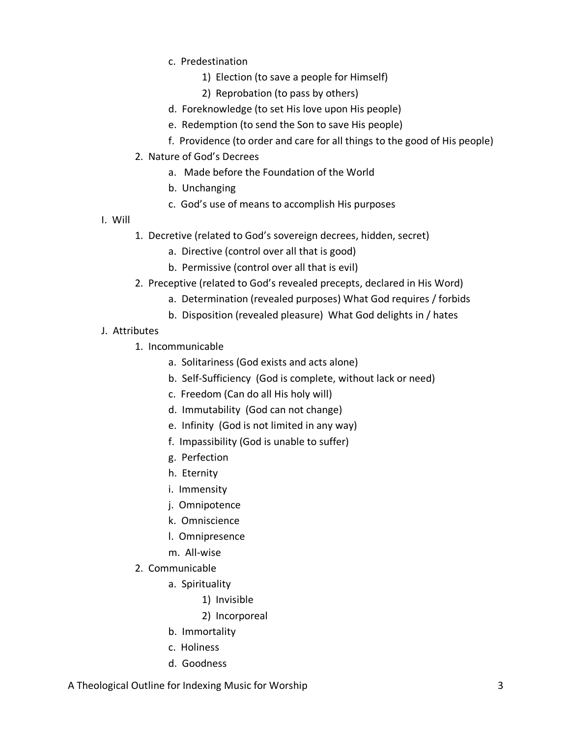- c. Predestination
	- 1) Election (to save a people for Himself)
	- 2) Reprobation (to pass by others)
- d. Foreknowledge (to set His love upon His people)
- e. Redemption (to send the Son to save His people)
- f. Providence (to order and care for all things to the good of His people)
- 2. Nature of God's Decrees
	- a. Made before the Foundation of the World
	- b. Unchanging
	- c. God's use of means to accomplish His purposes
- I. Will
	- 1. Decretive (related to God's sovereign decrees, hidden, secret)
		- a. Directive (control over all that is good)
		- b. Permissive (control over all that is evil)
	- 2. Preceptive (related to God's revealed precepts, declared in His Word)
		- a. Determination (revealed purposes) What God requires / forbids
		- b. Disposition (revealed pleasure) What God delights in / hates
- J. Attributes
	- 1. Incommunicable
		- a. Solitariness (God exists and acts alone)
		- b. Self-Sufficiency (God is complete, without lack or need)
		- c. Freedom (Can do all His holy will)
		- d. Immutability (God can not change)
		- e. Infinity (God is not limited in any way)
		- f. Impassibility (God is unable to suffer)
		- g. Perfection
		- h. Eternity
		- i. Immensity
		- j. Omnipotence
		- k. Omniscience
		- l. Omnipresence
		- m. All-wise
	- 2. Communicable
		- a. Spirituality
			- 1) Invisible
			- 2) Incorporeal
		- b. Immortality
		- c. Holiness
		- d. Goodness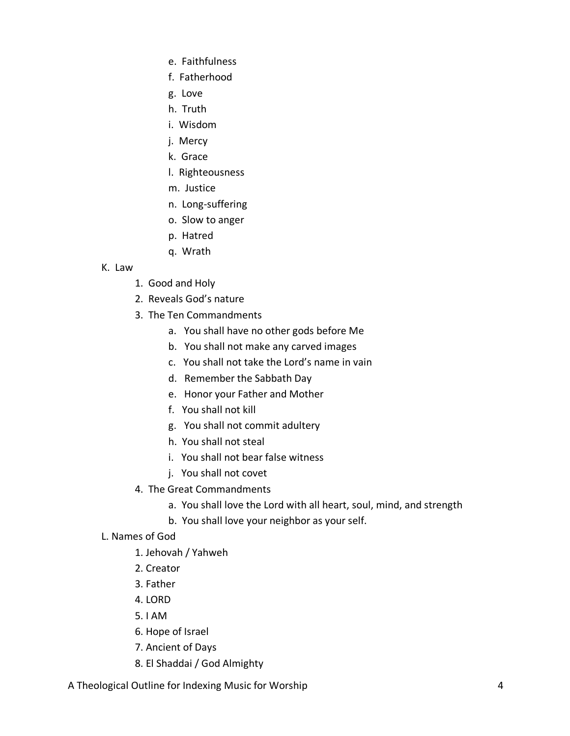- e. Faithfulness
- f. Fatherhood
- g. Love
- h. Truth
- i. Wisdom
- j. Mercy
- k. Grace
- l. Righteousness
- m. Justice
- n. Long-suffering
- o. Slow to anger
- p. Hatred
- q. Wrath

#### K. Law

- 1. Good and Holy
- 2. Reveals God's nature
- 3. The Ten Commandments
	- a. You shall have no other gods before Me
	- b. You shall not make any carved images
	- c. You shall not take the Lord's name in vain
	- d. Remember the Sabbath Day
	- e. Honor your Father and Mother
	- f. You shall not kill
	- g. You shall not commit adultery
	- h. You shall not steal
	- i. You shall not bear false witness
	- j. You shall not covet
- 4. The Great Commandments
	- a. You shall love the Lord with all heart, soul, mind, and strength
	- b. You shall love your neighbor as your self.
- L. Names of God
	- 1. Jehovah / Yahweh
	- 2. Creator
	- 3. Father
	- 4. LORD
	- 5. I AM
	- 6. Hope of Israel
	- 7. Ancient of Days
	- 8. El Shaddai / God Almighty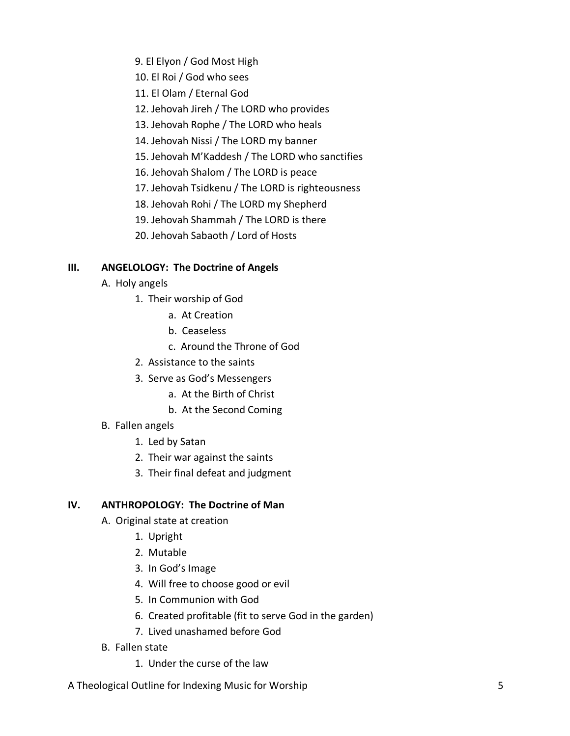- 9. El Elyon / God Most High
- 10. El Roi / God who sees
- 11. El Olam / Eternal God
- 12. Jehovah Jireh / The LORD who provides
- 13. Jehovah Rophe / The LORD who heals
- 14. Jehovah Nissi / The LORD my banner
- 15. Jehovah M'Kaddesh / The LORD who sanctifies
- 16. Jehovah Shalom / The LORD is peace
- 17. Jehovah Tsidkenu / The LORD is righteousness
- 18. Jehovah Rohi / The LORD my Shepherd
- 19. Jehovah Shammah / The LORD is there
- 20. Jehovah Sabaoth / Lord of Hosts

# **III. ANGELOLOGY: The Doctrine of Angels**

- A. Holy angels
	- 1. Their worship of God
		- a. At Creation
		- b. Ceaseless
		- c. Around the Throne of God
	- 2. Assistance to the saints
	- 3. Serve as God's Messengers
		- a. At the Birth of Christ
		- b. At the Second Coming
- B. Fallen angels
	- 1. Led by Satan
	- 2. Their war against the saints
	- 3. Their final defeat and judgment

# **IV. ANTHROPOLOGY: The Doctrine of Man**

- A. Original state at creation
	- 1. Upright
	- 2. Mutable
	- 3. In God's Image
	- 4. Will free to choose good or evil
	- 5. In Communion with God
	- 6. Created profitable (fit to serve God in the garden)
	- 7. Lived unashamed before God
- B. Fallen state
	- 1. Under the curse of the law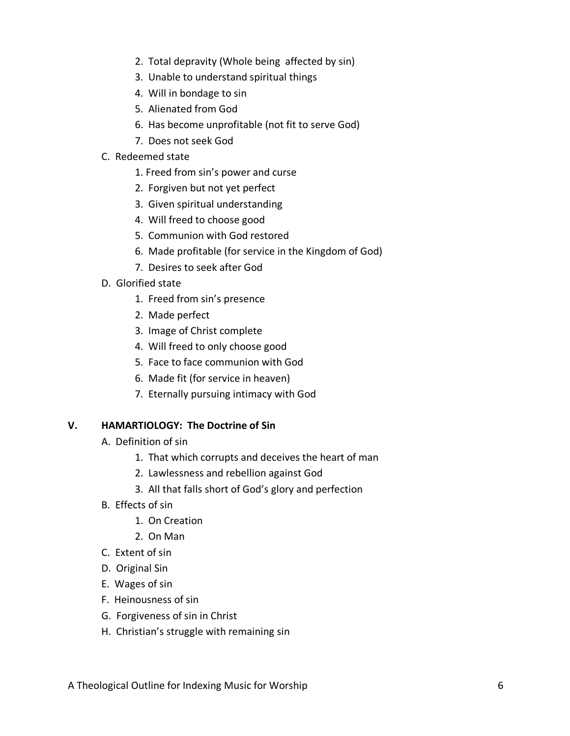- 2. Total depravity (Whole being affected by sin)
- 3. Unable to understand spiritual things
- 4. Will in bondage to sin
- 5. Alienated from God
- 6. Has become unprofitable (not fit to serve God)
- 7. Does not seek God
- C. Redeemed state
	- 1. Freed from sin's power and curse
	- 2. Forgiven but not yet perfect
	- 3. Given spiritual understanding
	- 4. Will freed to choose good
	- 5. Communion with God restored
	- 6. Made profitable (for service in the Kingdom of God)
	- 7. Desires to seek after God
- D. Glorified state
	- 1. Freed from sin's presence
	- 2. Made perfect
	- 3. Image of Christ complete
	- 4. Will freed to only choose good
	- 5. Face to face communion with God
	- 6. Made fit (for service in heaven)
	- 7. Eternally pursuing intimacy with God

#### **V. HAMARTIOLOGY: The Doctrine of Sin**

- A. Definition of sin
	- 1. That which corrupts and deceives the heart of man
	- 2. Lawlessness and rebellion against God
	- 3. All that falls short of God's glory and perfection
- B. Effects of sin
	- 1. On Creation
	- 2. On Man
- C. Extent of sin
- D. Original Sin
- E. Wages of sin
- F. Heinousness of sin
- G. Forgiveness of sin in Christ
- H. Christian's struggle with remaining sin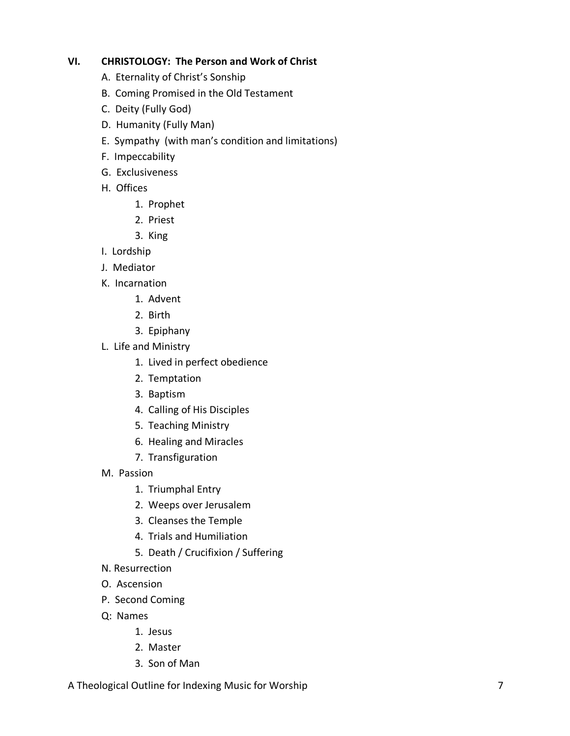# **VI. CHRISTOLOGY: The Person and Work of Christ**

- A. Eternality of Christ's Sonship
- B. Coming Promised in the Old Testament
- C. Deity (Fully God)
- D. Humanity (Fully Man)
- E. Sympathy (with man's condition and limitations)
- F. Impeccability
- G. Exclusiveness
- H. Offices
	- 1. Prophet
	- 2. Priest
	- 3. King
- I. Lordship
- J. Mediator
- K. Incarnation
	- 1. Advent
	- 2. Birth
	- 3. Epiphany
- L. Life and Ministry
	- 1. Lived in perfect obedience
	- 2. Temptation
	- 3. Baptism
	- 4. Calling of His Disciples
	- 5. Teaching Ministry
	- 6. Healing and Miracles
	- 7. Transfiguration
- M. Passion
	- 1. Triumphal Entry
	- 2. Weeps over Jerusalem
	- 3. Cleanses the Temple
	- 4. Trials and Humiliation
	- 5. Death / Crucifixion / Suffering
- N. Resurrection
- O. Ascension
- P. Second Coming
- Q: Names
	- 1. Jesus
	- 2. Master
	- 3. Son of Man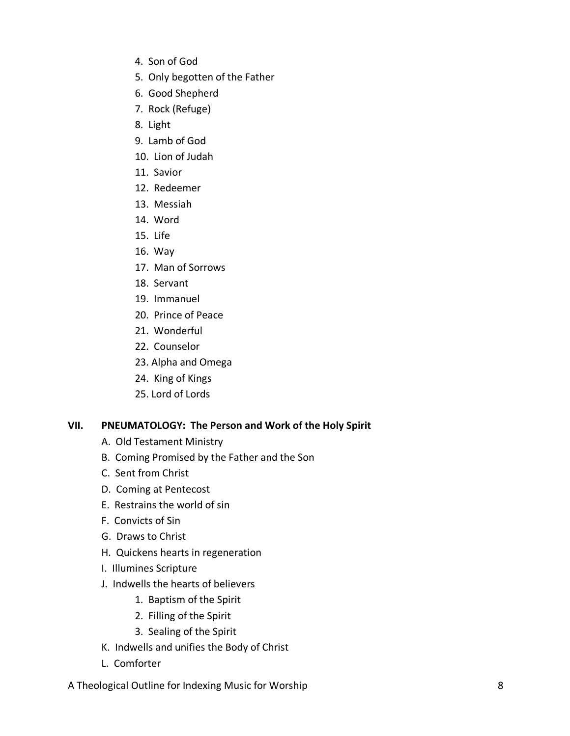- 4. Son of God
- 5. Only begotten of the Father
- 6. Good Shepherd
- 7. Rock (Refuge)
- 8. Light
- 9. Lamb of God
- 10. Lion of Judah
- 11. Savior
- 12. Redeemer
- 13. Messiah
- 14. Word
- 15. Life
- 16. Way
- 17. Man of Sorrows
- 18. Servant
- 19. Immanuel
- 20. Prince of Peace
- 21. Wonderful
- 22. Counselor
- 23. Alpha and Omega
- 24. King of Kings
- 25. Lord of Lords

# **VII. PNEUMATOLOGY: The Person and Work of the Holy Spirit**

- A. Old Testament Ministry
- B. Coming Promised by the Father and the Son
- C. Sent from Christ
- D. Coming at Pentecost
- E. Restrains the world of sin
- F. Convicts of Sin
- G. Draws to Christ
- H. Quickens hearts in regeneration
- I. Illumines Scripture
- J. Indwells the hearts of believers
	- 1. Baptism of the Spirit
	- 2. Filling of the Spirit
	- 3. Sealing of the Spirit
- K. Indwells and unifies the Body of Christ
- L. Comforter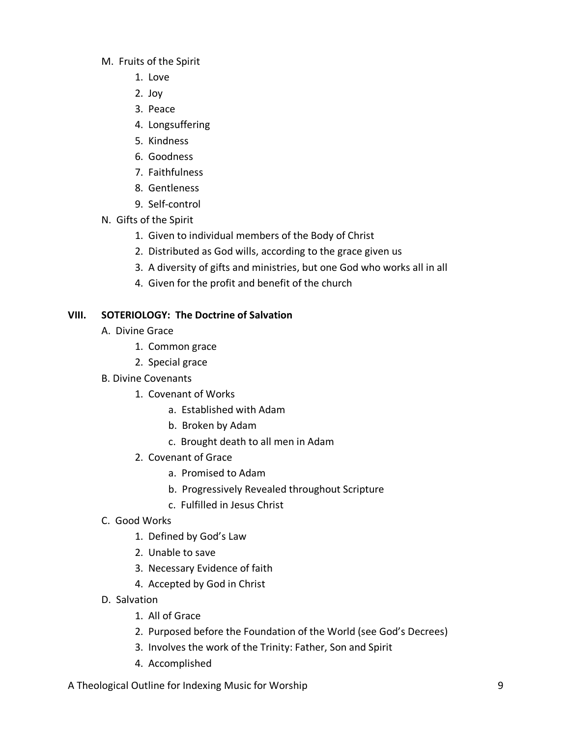- M. Fruits of the Spirit
	- 1. Love
	- 2. Joy
	- 3. Peace
	- 4. Longsuffering
	- 5. Kindness
	- 6. Goodness
	- 7. Faithfulness
	- 8. Gentleness
	- 9. Self-control
- N. Gifts of the Spirit
	- 1. Given to individual members of the Body of Christ
	- 2. Distributed as God wills, according to the grace given us
	- 3. A diversity of gifts and ministries, but one God who works all in all
	- 4. Given for the profit and benefit of the church

# **VIII. SOTERIOLOGY: The Doctrine of Salvation**

- A. Divine Grace
	- 1. Common grace
	- 2. Special grace
- B. Divine Covenants
	- 1. Covenant of Works
		- a. Established with Adam
		- b. Broken by Adam
		- c. Brought death to all men in Adam
	- 2. Covenant of Grace
		- a. Promised to Adam
		- b. Progressively Revealed throughout Scripture
		- c. Fulfilled in Jesus Christ
- C. Good Works
	- 1. Defined by God's Law
	- 2. Unable to save
	- 3. Necessary Evidence of faith
	- 4. Accepted by God in Christ
- D. Salvation
	- 1. All of Grace
	- 2. Purposed before the Foundation of the World (see God's Decrees)
	- 3. Involves the work of the Trinity: Father, Son and Spirit
	- 4. Accomplished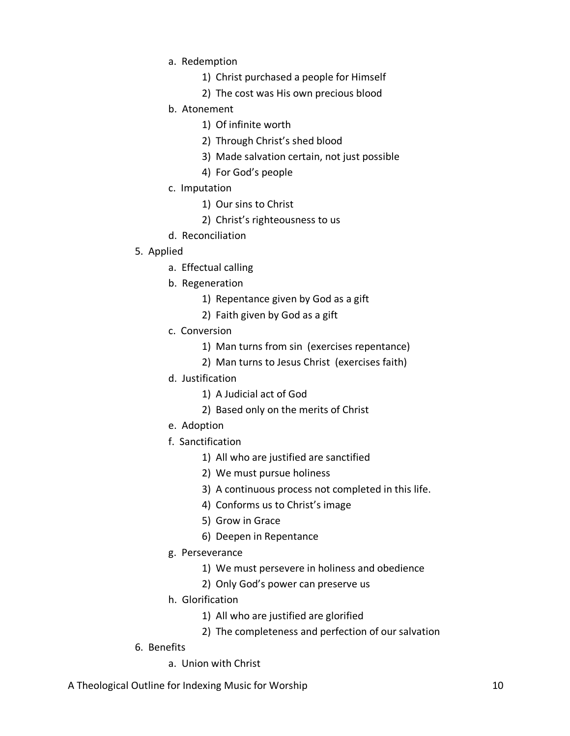- a. Redemption
	- 1) Christ purchased a people for Himself
	- 2) The cost was His own precious blood
- b. Atonement
	- 1) Of infinite worth
	- 2) Through Christ's shed blood
	- 3) Made salvation certain, not just possible
	- 4) For God's people
- c. Imputation
	- 1) Our sins to Christ
	- 2) Christ's righteousness to us
- d. Reconciliation

# 5. Applied

- a. Effectual calling
- b. Regeneration
	- 1) Repentance given by God as a gift
	- 2) Faith given by God as a gift
- c. Conversion
	- 1) Man turns from sin (exercises repentance)
	- 2) Man turns to Jesus Christ (exercises faith)
- d. Justification
	- 1) A Judicial act of God
	- 2) Based only on the merits of Christ
- e. Adoption
- f. Sanctification
	- 1) All who are justified are sanctified
	- 2) We must pursue holiness
	- 3) A continuous process not completed in this life.
	- 4) Conforms us to Christ's image
	- 5) Grow in Grace
	- 6) Deepen in Repentance
- g. Perseverance
	- 1) We must persevere in holiness and obedience
	- 2) Only God's power can preserve us
- h. Glorification
	- 1) All who are justified are glorified
	- 2) The completeness and perfection of our salvation
- 6. Benefits
	- a. Union with Christ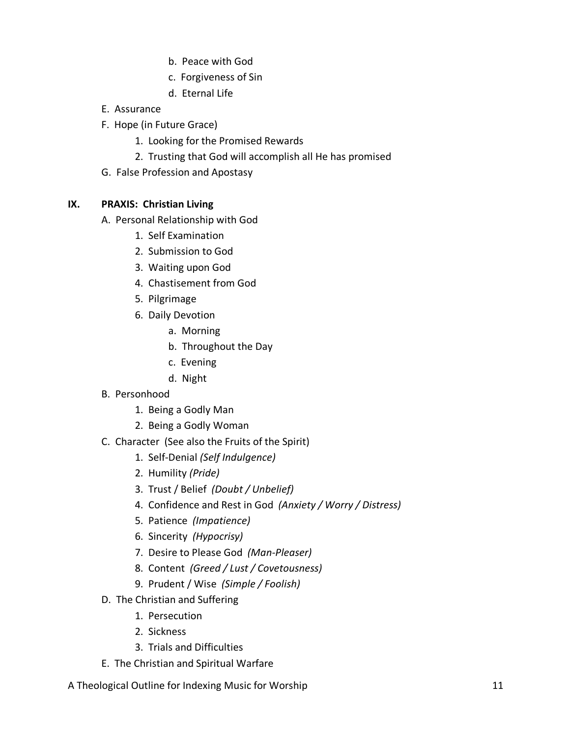- b. Peace with God
- c. Forgiveness of Sin
- d. Eternal Life
- E. Assurance
- F. Hope (in Future Grace)
	- 1. Looking for the Promised Rewards
	- 2. Trusting that God will accomplish all He has promised
- G. False Profession and Apostasy

# **IX. PRAXIS: Christian Living**

- A. Personal Relationship with God
	- 1. Self Examination
	- 2. Submission to God
	- 3. Waiting upon God
	- 4. Chastisement from God
	- 5. Pilgrimage
	- 6. Daily Devotion
		- a. Morning
		- b. Throughout the Day
		- c. Evening
		- d. Night
- B. Personhood
	- 1. Being a Godly Man
	- 2. Being a Godly Woman
- C. Character (See also the Fruits of the Spirit)
	- 1. Self-Denial *(Self Indulgence)*
	- 2. Humility *(Pride)*
	- 3. Trust / Belief *(Doubt / Unbelief)*
	- 4. Confidence and Rest in God *(Anxiety / Worry / Distress)*
	- 5. Patience *(Impatience)*
	- 6. Sincerity *(Hypocrisy)*
	- 7. Desire to Please God *(Man-Pleaser)*
	- 8. Content *(Greed / Lust / Covetousness)*
	- 9. Prudent / Wise *(Simple / Foolish)*
- D. The Christian and Suffering
	- 1. Persecution
	- 2. Sickness
	- 3. Trials and Difficulties
- E. The Christian and Spiritual Warfare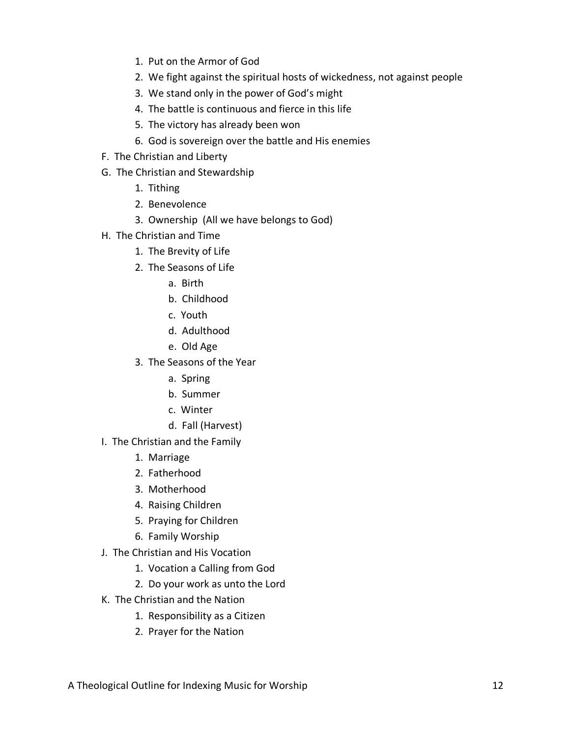- 1. Put on the Armor of God
- 2. We fight against the spiritual hosts of wickedness, not against people
- 3. We stand only in the power of God's might
- 4. The battle is continuous and fierce in this life
- 5. The victory has already been won
- 6. God is sovereign over the battle and His enemies
- F. The Christian and Liberty
- G. The Christian and Stewardship
	- 1. Tithing
	- 2. Benevolence
	- 3. Ownership (All we have belongs to God)
- H. The Christian and Time
	- 1. The Brevity of Life
	- 2. The Seasons of Life
		- a. Birth
		- b. Childhood
		- c. Youth
		- d. Adulthood
		- e. Old Age
	- 3. The Seasons of the Year
		- a. Spring
		- b. Summer
		- c. Winter
		- d. Fall (Harvest)
- I. The Christian and the Family
	- 1. Marriage
	- 2. Fatherhood
	- 3. Motherhood
	- 4. Raising Children
	- 5. Praying for Children
	- 6. Family Worship
- J. The Christian and His Vocation
	- 1. Vocation a Calling from God
	- 2. Do your work as unto the Lord
- K. The Christian and the Nation
	- 1. Responsibility as a Citizen
	- 2. Prayer for the Nation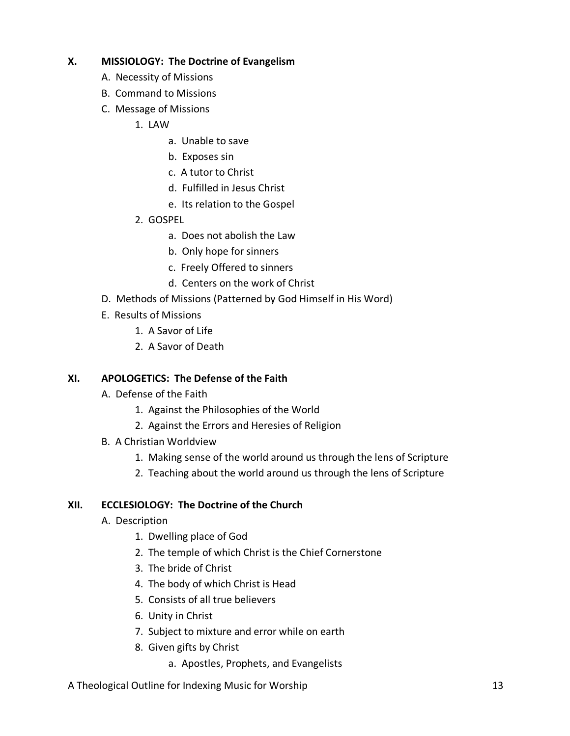# **X. MISSIOLOGY: The Doctrine of Evangelism**

- A. Necessity of Missions
- B. Command to Missions
- C. Message of Missions
	- 1. LAW
		- a. Unable to save
		- b. Exposes sin
		- c. A tutor to Christ
		- d. Fulfilled in Jesus Christ
		- e. Its relation to the Gospel
	- 2. GOSPEL
		- a. Does not abolish the Law
		- b. Only hope for sinners
		- c. Freely Offered to sinners
		- d. Centers on the work of Christ
- D. Methods of Missions (Patterned by God Himself in His Word)
- E. Results of Missions
	- 1. A Savor of Life
	- 2. A Savor of Death

#### **XI. APOLOGETICS: The Defense of the Faith**

- A. Defense of the Faith
	- 1. Against the Philosophies of the World
	- 2. Against the Errors and Heresies of Religion
- B. A Christian Worldview
	- 1. Making sense of the world around us through the lens of Scripture
	- 2. Teaching about the world around us through the lens of Scripture

#### **XII. ECCLESIOLOGY: The Doctrine of the Church**

- A. Description
	- 1. Dwelling place of God
	- 2. The temple of which Christ is the Chief Cornerstone
	- 3. The bride of Christ
	- 4. The body of which Christ is Head
	- 5. Consists of all true believers
	- 6. Unity in Christ
	- 7. Subject to mixture and error while on earth
	- 8. Given gifts by Christ
		- a. Apostles, Prophets, and Evangelists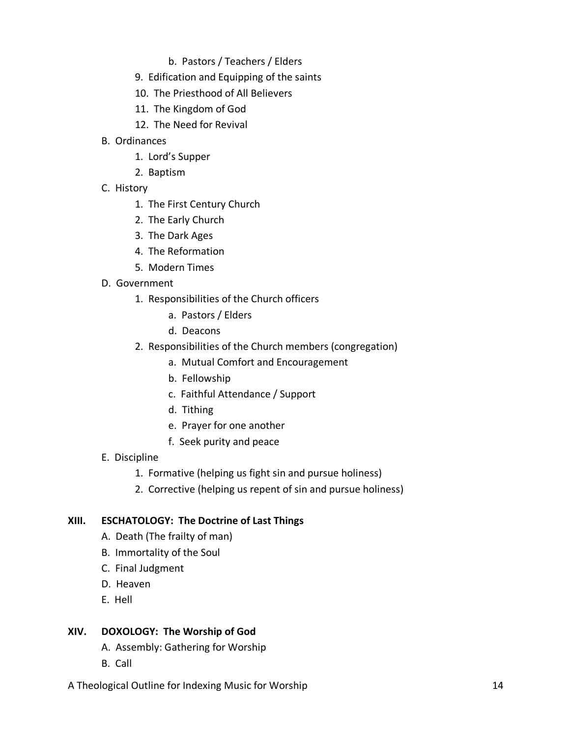- b. Pastors / Teachers / Elders
- 9. Edification and Equipping of the saints
- 10. The Priesthood of All Believers
- 11. The Kingdom of God
- 12. The Need for Revival
- B. Ordinances
	- 1. Lord's Supper
	- 2. Baptism
- C. History
	- 1. The First Century Church
	- 2. The Early Church
	- 3. The Dark Ages
	- 4. The Reformation
	- 5. Modern Times
- D. Government
	- 1. Responsibilities of the Church officers
		- a. Pastors / Elders
		- d. Deacons
	- 2. Responsibilities of the Church members (congregation)
		- a. Mutual Comfort and Encouragement
		- b. Fellowship
		- c. Faithful Attendance / Support
		- d. Tithing
		- e. Prayer for one another
		- f. Seek purity and peace
- E. Discipline
	- 1. Formative (helping us fight sin and pursue holiness)
	- 2. Corrective (helping us repent of sin and pursue holiness)

# **XIII. ESCHATOLOGY: The Doctrine of Last Things**

- A. Death (The frailty of man)
- B. Immortality of the Soul
- C. Final Judgment
- D. Heaven
- E. Hell

# **XIV. DOXOLOGY: The Worship of God**

- A. Assembly: Gathering for Worship
- B. Call